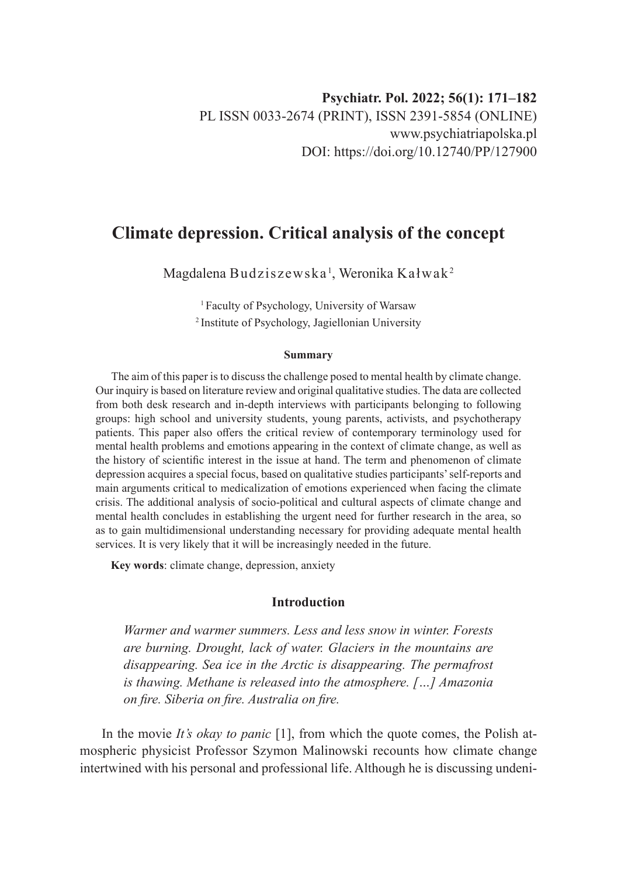# **Climate depression. Critical analysis of the concept**

Magdalena Budziszewska $^{\rm l}$ , Weronika Kałwak $^{\rm 2}$ 

1 Faculty of Psychology, University of Warsaw 2 Institute of Psychology, Jagiellonian University

#### **Summary**

The aim of this paper is to discuss the challenge posed to mental health by climate change. Our inquiry is based on literature review and original qualitative studies. The data are collected from both desk research and in-depth interviews with participants belonging to following groups: high school and university students, young parents, activists, and psychotherapy patients. This paper also offers the critical review of contemporary terminology used for mental health problems and emotions appearing in the context of climate change, as well as the history of scientific interest in the issue at hand. The term and phenomenon of climate depression acquires a special focus, based on qualitative studies participants' self-reports and main arguments critical to medicalization of emotions experienced when facing the climate crisis. The additional analysis of socio-political and cultural aspects of climate change and mental health concludes in establishing the urgent need for further research in the area, so as to gain multidimensional understanding necessary for providing adequate mental health services. It is very likely that it will be increasingly needed in the future.

**Key words**: climate change, depression, anxiety

# **Introduction**

*Warmer and warmer summers. Less and less snow in winter. Forests are burning. Drought, lack of water. Glaciers in the mountains are disappearing. Sea ice in the Arctic is disappearing. The permafrost is thawing. Methane is released into the atmosphere. […] Amazonia on fire. Siberia on fire. Australia on fire.*

In the movie *It's okay to panic* [1], from which the quote comes, the Polish atmospheric physicist Professor Szymon Malinowski recounts how climate change intertwined with his personal and professional life. Although he is discussing undeni-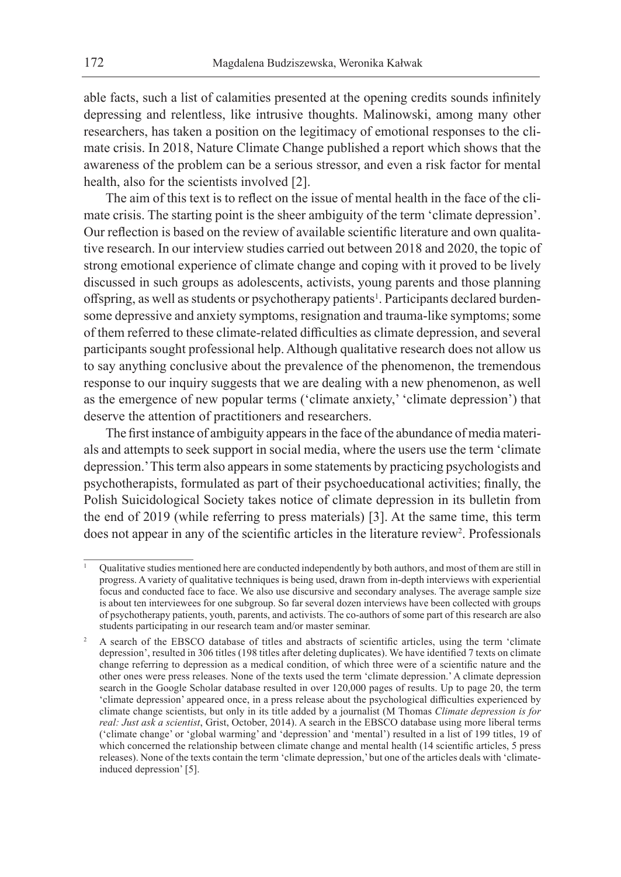able facts, such a list of calamities presented at the opening credits sounds infinitely depressing and relentless, like intrusive thoughts. Malinowski, among many other researchers, has taken a position on the legitimacy of emotional responses to the climate crisis. In 2018, Nature Climate Change published a report which shows that the awareness of the problem can be a serious stressor, and even a risk factor for mental health, also for the scientists involved [2].

The aim of this text is to reflect on the issue of mental health in the face of the climate crisis. The starting point is the sheer ambiguity of the term 'climate depression'. Our reflection is based on the review of available scientific literature and own qualitative research. In our interview studies carried out between 2018 and 2020, the topic of strong emotional experience of climate change and coping with it proved to be lively discussed in such groups as adolescents, activists, young parents and those planning offspring, as well as students or psychotherapy patients<sup>1</sup>. Participants declared burdensome depressive and anxiety symptoms, resignation and trauma-like symptoms; some of them referred to these climate-related difficulties as climate depression, and several participants sought professional help. Although qualitative research does not allow us to say anything conclusive about the prevalence of the phenomenon, the tremendous response to our inquiry suggests that we are dealing with a new phenomenon, as well as the emergence of new popular terms ('climate anxiety,' 'climate depression') that deserve the attention of practitioners and researchers.

The first instance of ambiguity appears in the face of the abundance of media materials and attempts to seek support in social media, where the users use the term 'climate depression.' This term also appears in some statements by practicing psychologists and psychotherapists, formulated as part of their psychoeducational activities; finally, the Polish Suicidological Society takes notice of climate depression in its bulletin from the end of 2019 (while referring to press materials) [3]. At the same time, this term does not appear in any of the scientific articles in the literature review<sup>2</sup>. Professionals

<sup>1</sup> Qualitative studies mentioned here are conducted independently by both authors, and most of them are still in progress. A variety of qualitative techniques is being used, drawn from in-depth interviews with experiential focus and conducted face to face. We also use discursive and secondary analyses. The average sample size is about ten interviewees for one subgroup. So far several dozen interviews have been collected with groups of psychotherapy patients, youth, parents, and activists. The co-authors of some part of this research are also students participating in our research team and/or master seminar.

<sup>2</sup> A search of the EBSCO database of titles and abstracts of scientific articles, using the term 'climate depression', resulted in 306 titles (198 titles after deleting duplicates). We have identified 7 texts on climate change referring to depression as a medical condition, of which three were of a scientific nature and the other ones were press releases. None of the texts used the term 'climate depression.' A climate depression search in the Google Scholar database resulted in over 120,000 pages of results. Up to page 20, the term 'climate depression' appeared once, in a press release about the psychological difficulties experienced by climate change scientists, but only in its title added by a journalist (M Thomas *Climate depression is for real: Just ask a scientist*, Grist, October, 2014). A search in the EBSCO database using more liberal terms ('climate change' or 'global warming' and 'depression' and 'mental') resulted in a list of 199 titles, 19 of which concerned the relationship between climate change and mental health (14 scientific articles, 5 press releases). None of the texts contain the term 'climate depression,' but one of the articles deals with 'climateinduced depression' [5].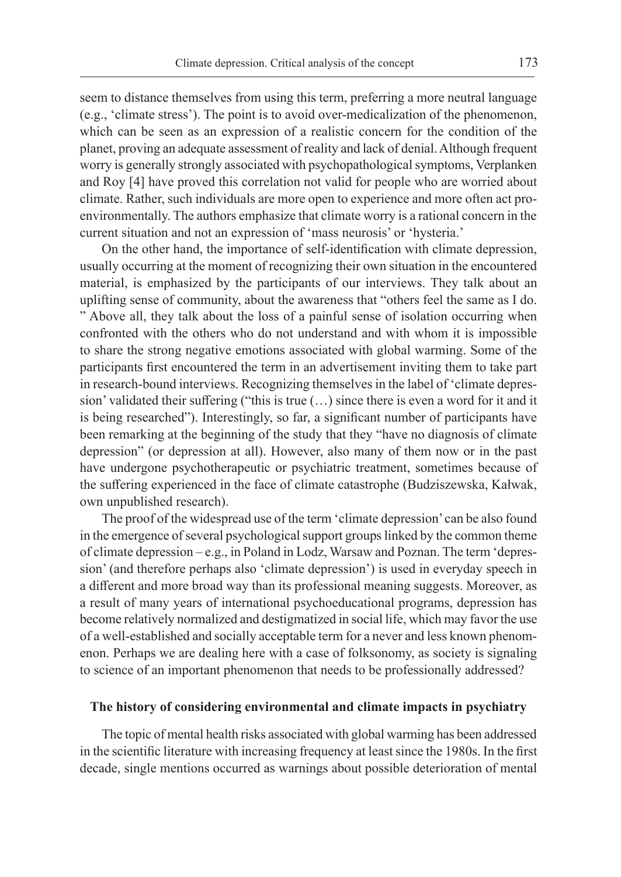seem to distance themselves from using this term, preferring a more neutral language (e.g., 'climate stress'). The point is to avoid over-medicalization of the phenomenon, which can be seen as an expression of a realistic concern for the condition of the planet, proving an adequate assessment of reality and lack of denial. Although frequent worry is generally strongly associated with psychopathological symptoms, Verplanken and Roy [4] have proved this correlation not valid for people who are worried about climate. Rather, such individuals are more open to experience and more often act proenvironmentally. The authors emphasize that climate worry is a rational concern in the current situation and not an expression of 'mass neurosis' or 'hysteria.'

On the other hand, the importance of self-identification with climate depression, usually occurring at the moment of recognizing their own situation in the encountered material, is emphasized by the participants of our interviews. They talk about an uplifting sense of community, about the awareness that "others feel the same as I do. " Above all, they talk about the loss of a painful sense of isolation occurring when confronted with the others who do not understand and with whom it is impossible to share the strong negative emotions associated with global warming. Some of the participants first encountered the term in an advertisement inviting them to take part in research-bound interviews. Recognizing themselves in the label of 'climate depression' validated their suffering ("this is true (…) since there is even a word for it and it is being researched"). Interestingly, so far, a significant number of participants have been remarking at the beginning of the study that they "have no diagnosis of climate depression" (or depression at all). However, also many of them now or in the past have undergone psychotherapeutic or psychiatric treatment, sometimes because of the suffering experienced in the face of climate catastrophe (Budziszewska, Kałwak, own unpublished research).

The proof of the widespread use of the term 'climate depression' can be also found in the emergence of several psychological support groups linked by the common theme of climate depression – e.g., in Poland in Lodz, Warsaw and Poznan. The term 'depression' (and therefore perhaps also 'climate depression') is used in everyday speech in a different and more broad way than its professional meaning suggests. Moreover, as a result of many years of international psychoeducational programs, depression has become relatively normalized and destigmatized in social life, which may favor the use of a well-established and socially acceptable term for a never and less known phenomenon. Perhaps we are dealing here with a case of folksonomy, as society is signaling to science of an important phenomenon that needs to be professionally addressed?

#### **The history of considering environmental and climate impacts in psychiatry**

The topic of mental health risks associated with global warming has been addressed in the scientific literature with increasing frequency at least since the 1980s. In the first decade, single mentions occurred as warnings about possible deterioration of mental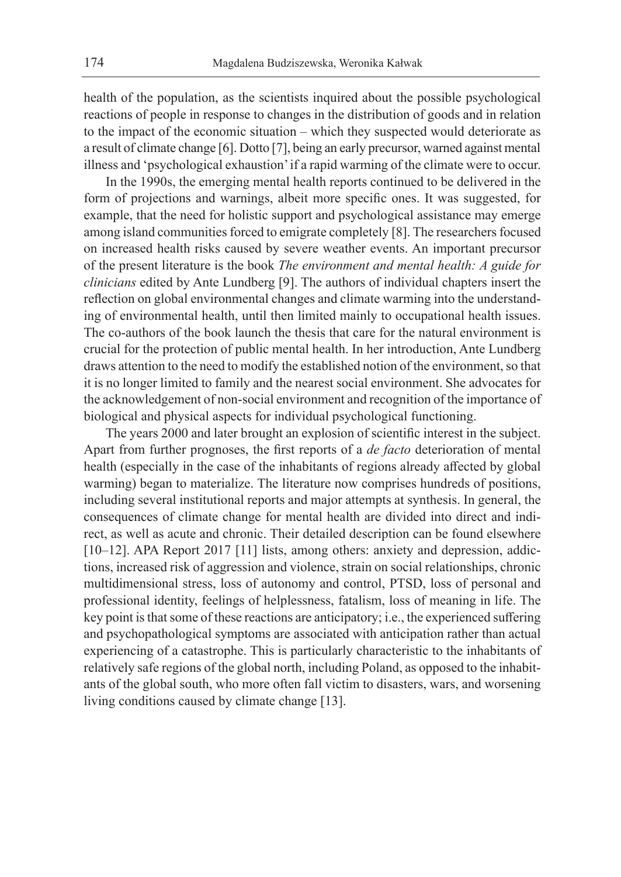health of the population, as the scientists inquired about the possible psychological reactions of people in response to changes in the distribution of goods and in relation to the impact of the economic situation – which they suspected would deteriorate as a result of climate change [6]. Dotto [7], being an early precursor, warned against mental illness and 'psychological exhaustion' if a rapid warming of the climate were to occur.

In the 1990s, the emerging mental health reports continued to be delivered in the form of projections and warnings, albeit more specific ones. It was suggested, for example, that the need for holistic support and psychological assistance may emerge among island communities forced to emigrate completely [8]. The researchers focused on increased health risks caused by severe weather events. An important precursor of the present literature is the book *The environment and mental health: A guide for clinicians* edited by Ante Lundberg [9]. The authors of individual chapters insert the reflection on global environmental changes and climate warming into the understanding of environmental health, until then limited mainly to occupational health issues. The co-authors of the book launch the thesis that care for the natural environment is crucial for the protection of public mental health. In her introduction, Ante Lundberg draws attention to the need to modify the established notion of the environment, so that it is no longer limited to family and the nearest social environment. She advocates for the acknowledgement of non-social environment and recognition of the importance of biological and physical aspects for individual psychological functioning.

The years 2000 and later brought an explosion of scientific interest in the subject. Apart from further prognoses, the first reports of a *de facto* deterioration of mental health (especially in the case of the inhabitants of regions already affected by global warming) began to materialize. The literature now comprises hundreds of positions, including several institutional reports and major attempts at synthesis. In general, the consequences of climate change for mental health are divided into direct and indirect, as well as acute and chronic. Their detailed description can be found elsewhere [10–12]. APA Report 2017 [11] lists, among others: anxiety and depression, addictions, increased risk of aggression and violence, strain on social relationships, chronic multidimensional stress, loss of autonomy and control, PTSD, loss of personal and professional identity, feelings of helplessness, fatalism, loss of meaning in life. The key point is that some of these reactions are anticipatory; i.e., the experienced suffering and psychopathological symptoms are associated with anticipation rather than actual experiencing of a catastrophe. This is particularly characteristic to the inhabitants of relatively safe regions of the global north, including Poland, as opposed to the inhabitants of the global south, who more often fall victim to disasters, wars, and worsening living conditions caused by climate change [13].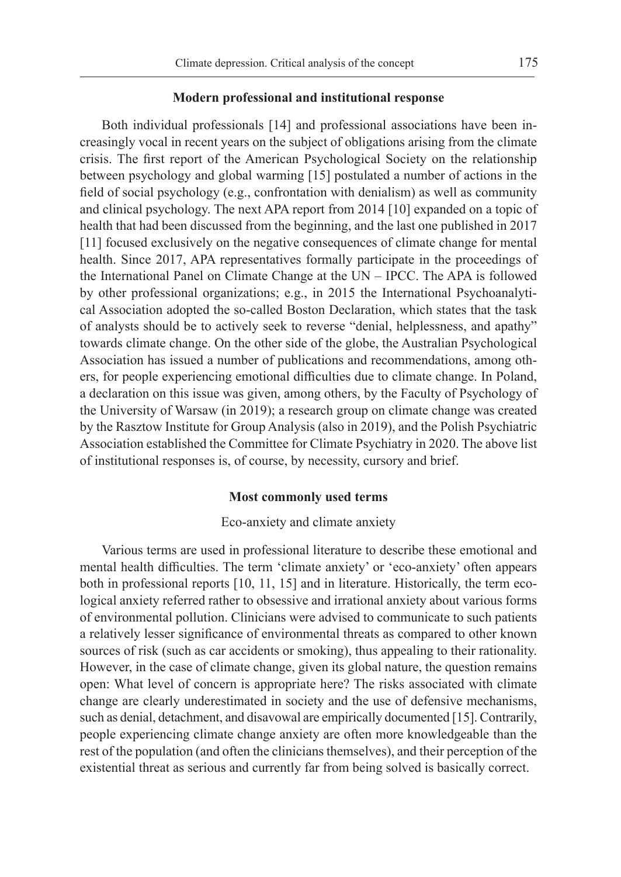### **Modern professional and institutional response**

Both individual professionals [14] and professional associations have been increasingly vocal in recent years on the subject of obligations arising from the climate crisis. The first report of the American Psychological Society on the relationship between psychology and global warming [15] postulated a number of actions in the field of social psychology (e.g., confrontation with denialism) as well as community and clinical psychology. The next APA report from 2014 [10] expanded on a topic of health that had been discussed from the beginning, and the last one published in 2017 [11] focused exclusively on the negative consequences of climate change for mental health. Since 2017, APA representatives formally participate in the proceedings of the International Panel on Climate Change at the UN – IPCC. The APA is followed by other professional organizations; e.g., in 2015 the International Psychoanalytical Association adopted the so-called Boston Declaration, which states that the task of analysts should be to actively seek to reverse "denial, helplessness, and apathy" towards climate change. On the other side of the globe, the Australian Psychological Association has issued a number of publications and recommendations, among others, for people experiencing emotional difficulties due to climate change. In Poland, a declaration on this issue was given, among others, by the Faculty of Psychology of the University of Warsaw (in 2019); a research group on climate change was created by the Rasztow Institute for Group Analysis (also in 2019), and the Polish Psychiatric Association established the Committee for Climate Psychiatry in 2020. The above list of institutional responses is, of course, by necessity, cursory and brief.

### **Most commonly used terms**

# Eco-anxiety and climate anxiety

Various terms are used in professional literature to describe these emotional and mental health difficulties. The term 'climate anxiety' or 'eco-anxiety' often appears both in professional reports [10, 11, 15] and in literature. Historically, the term ecological anxiety referred rather to obsessive and irrational anxiety about various forms of environmental pollution. Clinicians were advised to communicate to such patients a relatively lesser significance of environmental threats as compared to other known sources of risk (such as car accidents or smoking), thus appealing to their rationality. However, in the case of climate change, given its global nature, the question remains open: What level of concern is appropriate here? The risks associated with climate change are clearly underestimated in society and the use of defensive mechanisms, such as denial, detachment, and disavowal are empirically documented [15]. Contrarily, people experiencing climate change anxiety are often more knowledgeable than the rest of the population (and often the clinicians themselves), and their perception of the existential threat as serious and currently far from being solved is basically correct.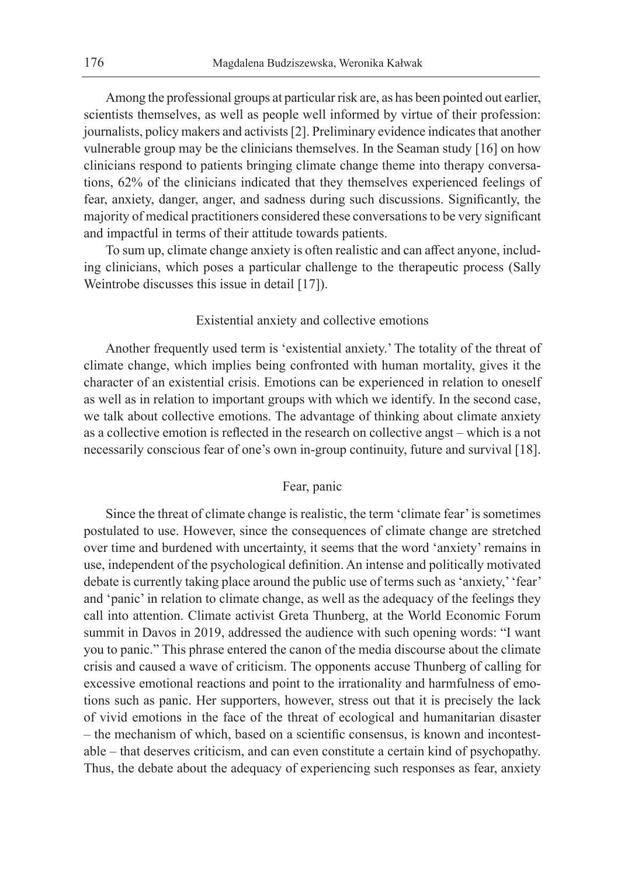Among the professional groups at particular risk are, as has been pointed out earlier, scientists themselves, as well as people well informed by virtue of their profession: journalists, policy makers and activists [2]. Preliminary evidence indicates that another vulnerable group may be the clinicians themselves. In the Seaman study [16] on how clinicians respond to patients bringing climate change theme into therapy conversations, 62% of the clinicians indicated that they themselves experienced feelings of fear, anxiety, danger, anger, and sadness during such discussions. Significantly, the majority of medical practitioners considered these conversations to be very significant and impactful in terms of their attitude towards patients.

To sum up, climate change anxiety is often realistic and can affect anyone, including clinicians, which poses a particular challenge to the therapeutic process (Sally Weintrobe discusses this issue in detail [17]).

### Existential anxiety and collective emotions

Another frequently used term is 'existential anxiety.' The totality of the threat of climate change, which implies being confronted with human mortality, gives it the character of an existential crisis. Emotions can be experienced in relation to oneself as well as in relation to important groups with which we identify. In the second case, we talk about collective emotions. The advantage of thinking about climate anxiety as a collective emotion is reflected in the research on collective angst – which is a not necessarily conscious fear of one's own in-group continuity, future and survival [18].

# Fear, panic

Since the threat of climate change is realistic, the term 'climate fear' is sometimes postulated to use. However, since the consequences of climate change are stretched over time and burdened with uncertainty, it seems that the word 'anxiety' remains in use, independent of the psychological definition. An intense and politically motivated debate is currently taking place around the public use of terms such as 'anxiety,' 'fear' and 'panic' in relation to climate change, as well as the adequacy of the feelings they call into attention. Climate activist Greta Thunberg, at the World Economic Forum summit in Davos in 2019, addressed the audience with such opening words: "I want you to panic." This phrase entered the canon of the media discourse about the climate crisis and caused a wave of criticism. The opponents accuse Thunberg of calling for excessive emotional reactions and point to the irrationality and harmfulness of emotions such as panic. Her supporters, however, stress out that it is precisely the lack of vivid emotions in the face of the threat of ecological and humanitarian disaster – the mechanism of which, based on a scientific consensus, is known and incontestable – that deserves criticism, and can even constitute a certain kind of psychopathy. Thus, the debate about the adequacy of experiencing such responses as fear, anxiety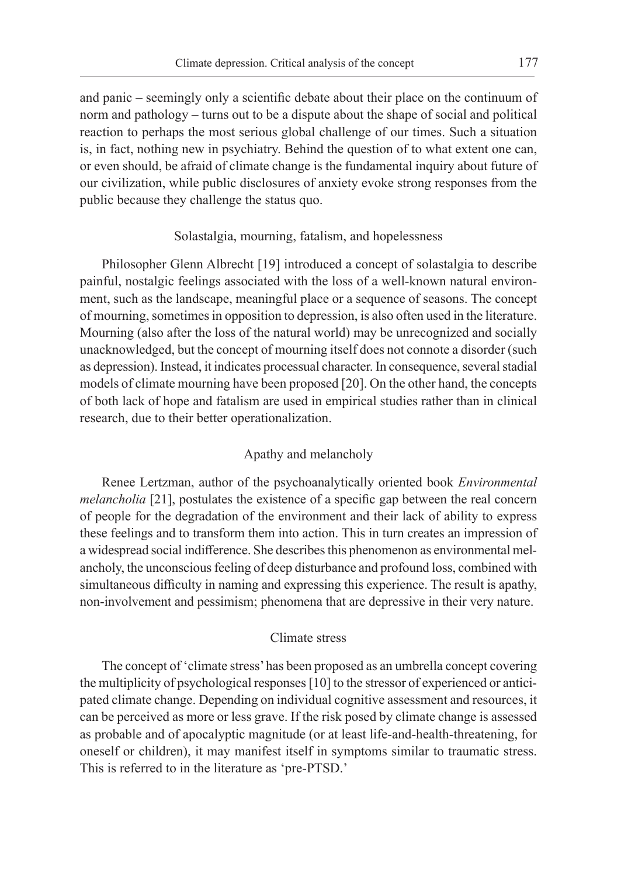and panic – seemingly only a scientific debate about their place on the continuum of norm and pathology – turns out to be a dispute about the shape of social and political reaction to perhaps the most serious global challenge of our times. Such a situation is, in fact, nothing new in psychiatry. Behind the question of to what extent one can, or even should, be afraid of climate change is the fundamental inquiry about future of our civilization, while public disclosures of anxiety evoke strong responses from the public because they challenge the status quo.

### Solastalgia, mourning, fatalism, and hopelessness

Philosopher Glenn Albrecht [19] introduced a concept of solastalgia to describe painful, nostalgic feelings associated with the loss of a well-known natural environment, such as the landscape, meaningful place or a sequence of seasons. The concept of mourning, sometimes in opposition to depression, is also often used in the literature. Mourning (also after the loss of the natural world) may be unrecognized and socially unacknowledged, but the concept of mourning itself does not connote a disorder (such as depression). Instead, it indicates processual character. In consequence, several stadial models of climate mourning have been proposed [20]. On the other hand, the concepts of both lack of hope and fatalism are used in empirical studies rather than in clinical research, due to their better operationalization.

# Apathy and melancholy

Renee Lertzman, author of the psychoanalytically oriented book *Environmental melancholia* [21], postulates the existence of a specific gap between the real concern of people for the degradation of the environment and their lack of ability to express these feelings and to transform them into action. This in turn creates an impression of a widespread social indifference. She describes this phenomenon as environmental melancholy, the unconscious feeling of deep disturbance and profound loss, combined with simultaneous difficulty in naming and expressing this experience. The result is apathy, non-involvement and pessimism; phenomena that are depressive in their very nature.

### Climate stress

The concept of 'climate stress' has been proposed as an umbrella concept covering the multiplicity of psychological responses [10] to the stressor of experienced or anticipated climate change. Depending on individual cognitive assessment and resources, it can be perceived as more or less grave. If the risk posed by climate change is assessed as probable and of apocalyptic magnitude (or at least life-and-health-threatening, for oneself or children), it may manifest itself in symptoms similar to traumatic stress. This is referred to in the literature as 'pre-PTSD.'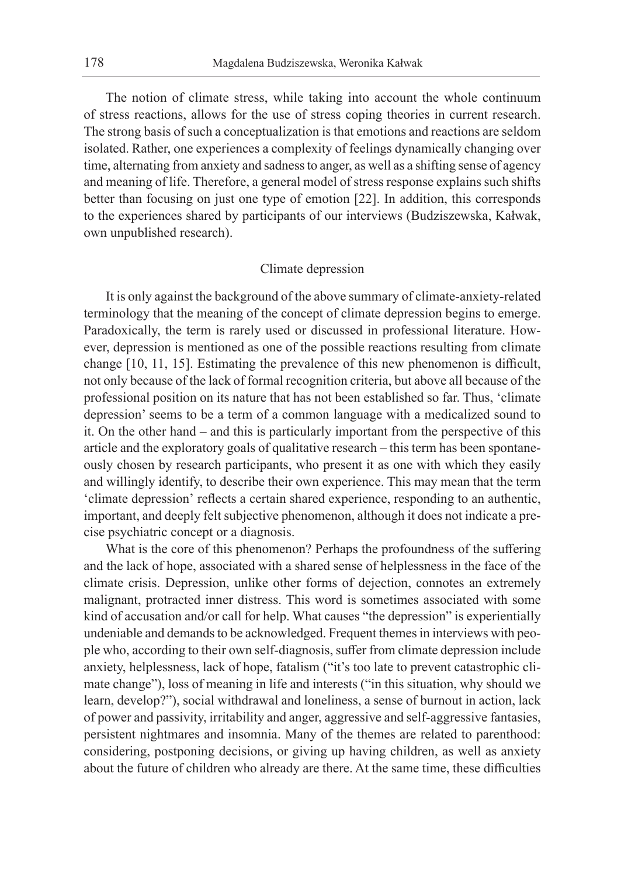The notion of climate stress, while taking into account the whole continuum of stress reactions, allows for the use of stress coping theories in current research. The strong basis of such a conceptualization is that emotions and reactions are seldom isolated. Rather, one experiences a complexity of feelings dynamically changing over time, alternating from anxiety and sadness to anger, as well as a shifting sense of agency and meaning of life. Therefore, a general model of stress response explains such shifts better than focusing on just one type of emotion [22]. In addition, this corresponds to the experiences shared by participants of our interviews (Budziszewska, Kałwak, own unpublished research).

### Climate depression

It is only against the background of the above summary of climate-anxiety-related terminology that the meaning of the concept of climate depression begins to emerge. Paradoxically, the term is rarely used or discussed in professional literature. However, depression is mentioned as one of the possible reactions resulting from climate change [10, 11, 15]. Estimating the prevalence of this new phenomenon is difficult, not only because of the lack of formal recognition criteria, but above all because of the professional position on its nature that has not been established so far. Thus, 'climate depression' seems to be a term of a common language with a medicalized sound to it. On the other hand – and this is particularly important from the perspective of this article and the exploratory goals of qualitative research – this term has been spontaneously chosen by research participants, who present it as one with which they easily and willingly identify, to describe their own experience. This may mean that the term 'climate depression' reflects a certain shared experience, responding to an authentic, important, and deeply felt subjective phenomenon, although it does not indicate a precise psychiatric concept or a diagnosis.

What is the core of this phenomenon? Perhaps the profoundness of the suffering and the lack of hope, associated with a shared sense of helplessness in the face of the climate crisis. Depression, unlike other forms of dejection, connotes an extremely malignant, protracted inner distress. This word is sometimes associated with some kind of accusation and/or call for help. What causes "the depression" is experientially undeniable and demands to be acknowledged. Frequent themes in interviews with people who, according to their own self-diagnosis, suffer from climate depression include anxiety, helplessness, lack of hope, fatalism ("it's too late to prevent catastrophic climate change"), loss of meaning in life and interests ("in this situation, why should we learn, develop?"), social withdrawal and loneliness, a sense of burnout in action, lack of power and passivity, irritability and anger, aggressive and self-aggressive fantasies, persistent nightmares and insomnia. Many of the themes are related to parenthood: considering, postponing decisions, or giving up having children, as well as anxiety about the future of children who already are there. At the same time, these difficulties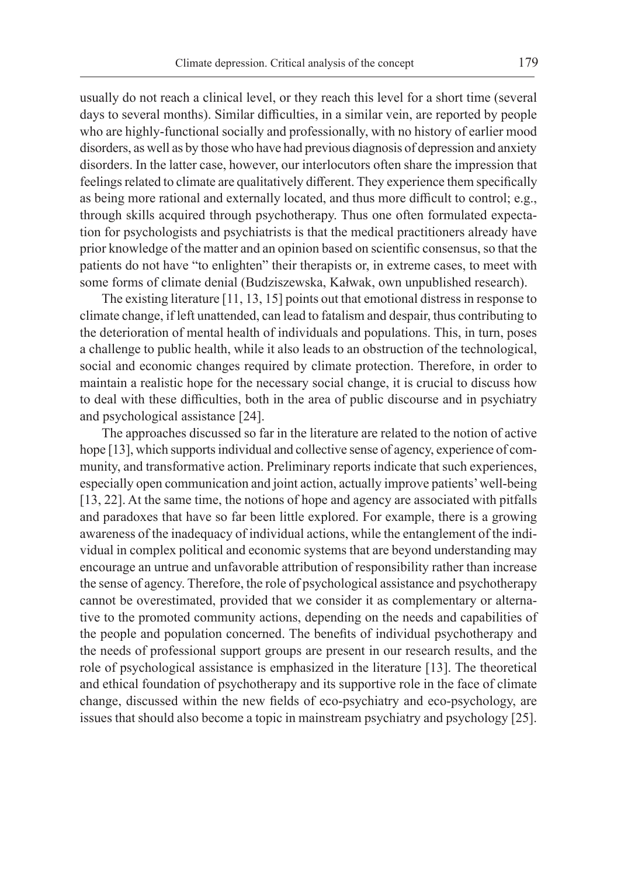usually do not reach a clinical level, or they reach this level for a short time (several days to several months). Similar difficulties, in a similar vein, are reported by people who are highly-functional socially and professionally, with no history of earlier mood disorders, as well as by those who have had previous diagnosis of depression and anxiety disorders. In the latter case, however, our interlocutors often share the impression that feelings related to climate are qualitatively different. They experience them specifically as being more rational and externally located, and thus more difficult to control; e.g., through skills acquired through psychotherapy. Thus one often formulated expectation for psychologists and psychiatrists is that the medical practitioners already have prior knowledge of the matter and an opinion based on scientific consensus, so that the patients do not have "to enlighten" their therapists or, in extreme cases, to meet with some forms of climate denial (Budziszewska, Kałwak, own unpublished research).

The existing literature [11, 13, 15] points out that emotional distress in response to climate change, if left unattended, can lead to fatalism and despair, thus contributing to the deterioration of mental health of individuals and populations. This, in turn, poses a challenge to public health, while it also leads to an obstruction of the technological, social and economic changes required by climate protection. Therefore, in order to maintain a realistic hope for the necessary social change, it is crucial to discuss how to deal with these difficulties, both in the area of public discourse and in psychiatry and psychological assistance [24].

The approaches discussed so far in the literature are related to the notion of active hope [13], which supports individual and collective sense of agency, experience of community, and transformative action. Preliminary reports indicate that such experiences, especially open communication and joint action, actually improve patients' well-being [13, 22]. At the same time, the notions of hope and agency are associated with pitfalls and paradoxes that have so far been little explored. For example, there is a growing awareness of the inadequacy of individual actions, while the entanglement of the individual in complex political and economic systems that are beyond understanding may encourage an untrue and unfavorable attribution of responsibility rather than increase the sense of agency. Therefore, the role of psychological assistance and psychotherapy cannot be overestimated, provided that we consider it as complementary or alternative to the promoted community actions, depending on the needs and capabilities of the people and population concerned. The benefits of individual psychotherapy and the needs of professional support groups are present in our research results, and the role of psychological assistance is emphasized in the literature [13]. The theoretical and ethical foundation of psychotherapy and its supportive role in the face of climate change, discussed within the new fields of eco-psychiatry and eco-psychology, are issues that should also become a topic in mainstream psychiatry and psychology [25].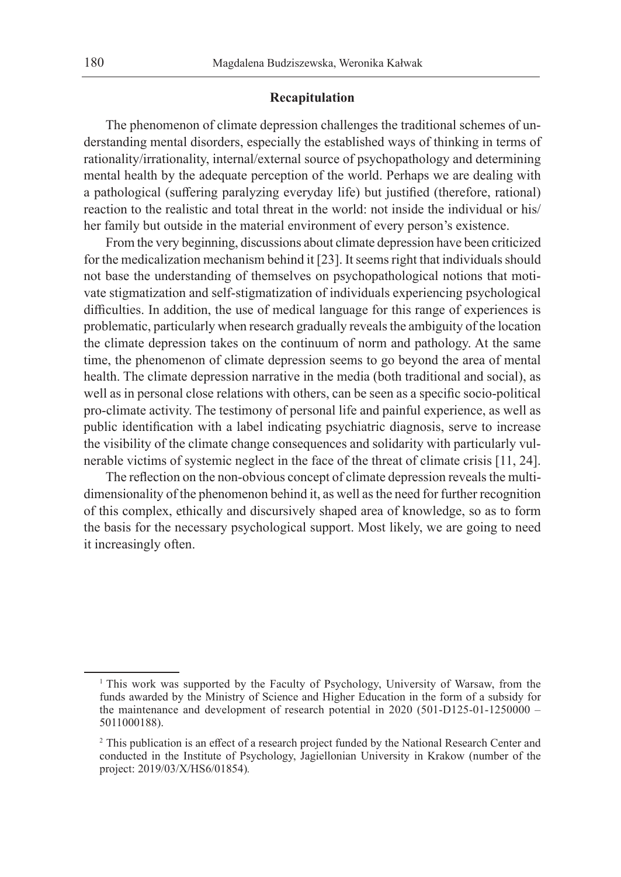### **Recapitulation**

The phenomenon of climate depression challenges the traditional schemes of understanding mental disorders, especially the established ways of thinking in terms of rationality/irrationality, internal/external source of psychopathology and determining mental health by the adequate perception of the world. Perhaps we are dealing with a pathological (suffering paralyzing everyday life) but justified (therefore, rational) reaction to the realistic and total threat in the world: not inside the individual or his/ her family but outside in the material environment of every person's existence.

From the very beginning, discussions about climate depression have been criticized for the medicalization mechanism behind it [23]. It seems right that individuals should not base the understanding of themselves on psychopathological notions that motivate stigmatization and self-stigmatization of individuals experiencing psychological difficulties. In addition, the use of medical language for this range of experiences is problematic, particularly when research gradually reveals the ambiguity of the location the climate depression takes on the continuum of norm and pathology. At the same time, the phenomenon of climate depression seems to go beyond the area of mental health. The climate depression narrative in the media (both traditional and social), as well as in personal close relations with others, can be seen as a specific socio-political pro-climate activity. The testimony of personal life and painful experience, as well as public identification with a label indicating psychiatric diagnosis, serve to increase the visibility of the climate change consequences and solidarity with particularly vulnerable victims of systemic neglect in the face of the threat of climate crisis [11, 24].

The reflection on the non-obvious concept of climate depression reveals the multidimensionality of the phenomenon behind it, as well as the need for further recognition of this complex, ethically and discursively shaped area of knowledge, so as to form the basis for the necessary psychological support. Most likely, we are going to need it increasingly often.

<sup>&</sup>lt;sup>1</sup> This work was supported by the Faculty of Psychology, University of Warsaw, from the funds awarded by the Ministry of Science and Higher Education in the form of a subsidy for the maintenance and development of research potential in 2020 (501-D125-01-1250000 – 5011000188).

<sup>2</sup> This publication is an effect of a research project funded by the National Research Center and conducted in the Institute of Psychology, Jagiellonian University in Krakow (number of the project: 2019/03/X/HS6/01854)*.*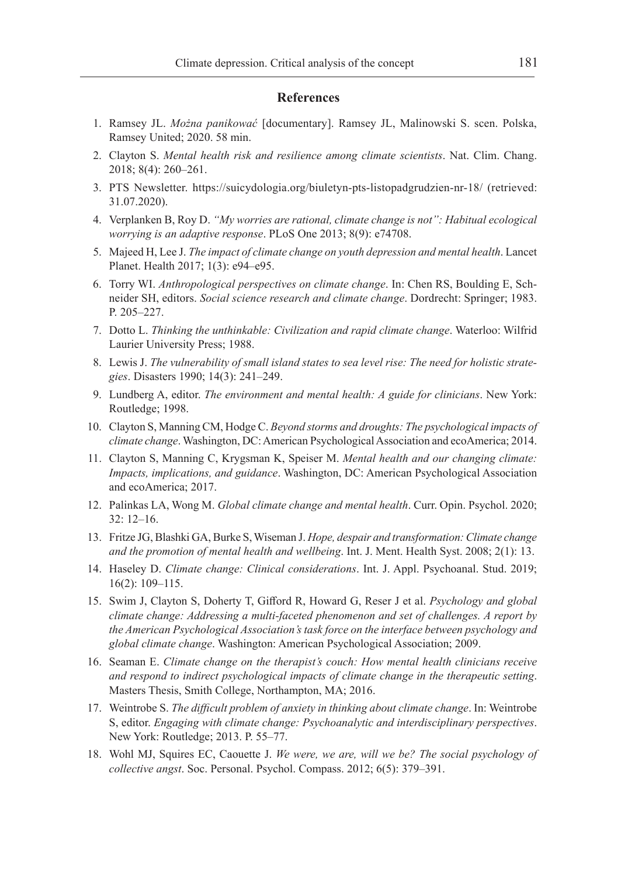#### **References**

- 1. Ramsey JL. *Można panikować* [documentary]. Ramsey JL, Malinowski S. scen. Polska, Ramsey United; 2020. 58 min.
- 2. Clayton S. *Mental health risk and resilience among climate scientists*. Nat. Clim. Chang. 2018; 8(4): 260–261.
- 3. PTS Newsletter. https://suicydologia.org/biuletyn-pts-listopadgrudzien-nr-18/ (retrieved: 31.07.2020).
- 4. Verplanken B, Roy D. *"My worries are rational, climate change is not": Habitual ecological worrying is an adaptive response*. PLoS One 2013; 8(9): e74708.
- 5. Majeed H, Lee J. *The impact of climate change on youth depression and mental health*. Lancet Planet. Health 2017; 1(3): e94–e95.
- 6. Torry WI. *Anthropological perspectives on climate change*. In: Chen RS, Boulding E, Schneider SH, editors. *Social science research and climate change*. Dordrecht: Springer; 1983. P. 205–227.
- 7. Dotto L. *Thinking the unthinkable: Civilization and rapid climate change*. Waterloo: Wilfrid Laurier University Press; 1988.
- 8. Lewis J. *The vulnerability of small island states to sea level rise: The need for holistic strategies*. Disasters 1990; 14(3): 241–249.
- 9. Lundberg A, editor. *The environment and mental health: A guide for clinicians*. New York: Routledge; 1998.
- 10. Clayton S, Manning CM, Hodge C. *Beyond storms and droughts: The psychological impacts of climate change*. Washington, DC: American Psychological Association and ecoAmerica; 2014.
- 11. Clayton S, Manning C, Krygsman K, Speiser M. *Mental health and our changing climate: Impacts, implications, and guidance*. Washington, DC: American Psychological Association and ecoAmerica; 2017.
- 12. Palinkas LA, Wong M. *Global climate change and mental health*. Curr. Opin. Psychol. 2020; 32: 12–16.
- 13. Fritze JG, Blashki GA, Burke S, Wiseman J. *Hope, despair and transformation: Climate change and the promotion of mental health and wellbeing*. Int. J. Ment. Health Syst. 2008; 2(1): 13.
- 14. Haseley D. *Climate change: Clinical considerations*. Int. J. Appl. Psychoanal. Stud. 2019; 16(2): 109–115.
- 15. Swim J, Clayton S, Doherty T, Gifford R, Howard G, Reser J et al. *Psychology and global climate change: Addressing a multi-faceted phenomenon and set of challenges. A report by the American Psychological Association's task force on the interface between psychology and global climate change*. Washington: American Psychological Association; 2009.
- 16. Seaman E. *Climate change on the therapist's couch: How mental health clinicians receive and respond to indirect psychological impacts of climate change in the therapeutic setting*. Masters Thesis, Smith College, Northampton, MA; 2016.
- 17. Weintrobe S. *The difficult problem of anxiety in thinking about climate change*. In: Weintrobe S, editor. *Engaging with climate change: Psychoanalytic and interdisciplinary perspectives*. New York: Routledge; 2013. P. 55–77.
- 18. Wohl MJ, Squires EC, Caouette J. *We were, we are, will we be? The social psychology of collective angst*. Soc. Personal. Psychol. Compass. 2012; 6(5): 379–391.